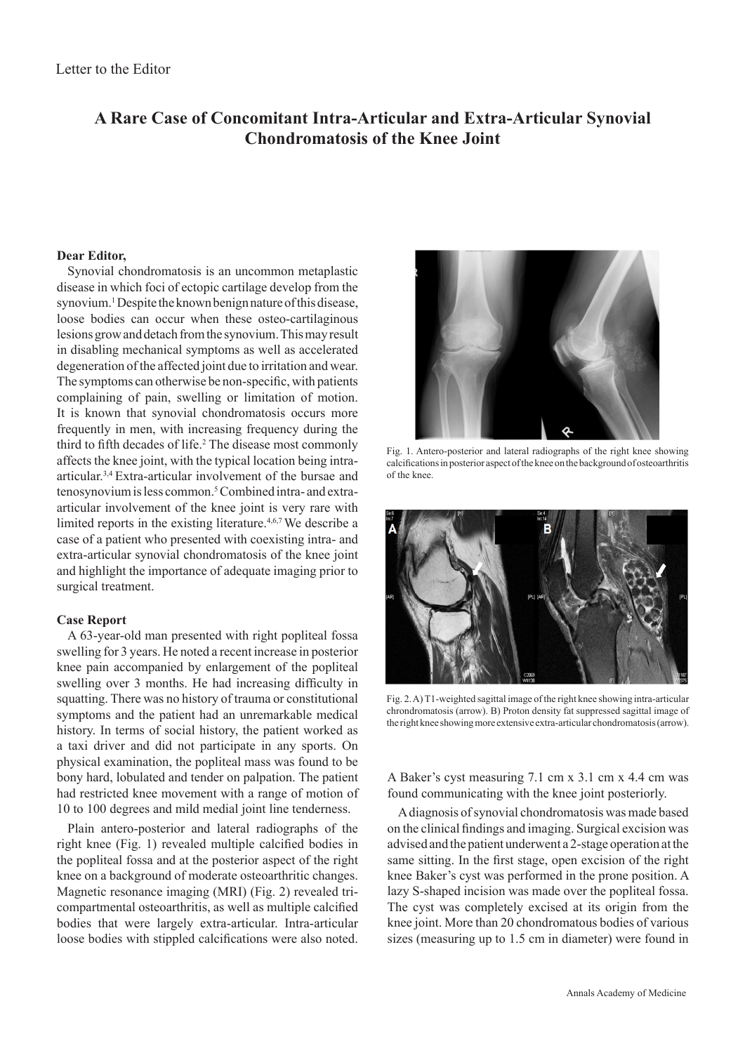# **A Rare Case of Concomitant Intra-Articular and Extra-Articular Synovial Chondromatosis of the Knee Joint**

## **Dear Editor,**

Synovial chondromatosis is an uncommon metaplastic disease in which foci of ectopic cartilage develop from the synovium.<sup>1</sup> Despite the known benign nature of this disease, loose bodies can occur when these osteo-cartilaginous lesions grow and detach from the synovium. This may result in disabling mechanical symptoms as well as accelerated degeneration of the affected joint due to irritation and wear. The symptoms can otherwise be non-specific, with patients complaining of pain, swelling or limitation of motion. It is known that synovial chondromatosis occurs more frequently in men, with increasing frequency during the third to fifth decades of life.<sup>2</sup> The disease most commonly affects the knee joint, with the typical location being intraarticular.3,4 Extra-articular involvement of the bursae and tenosynovium is less common.<sup>5</sup> Combined intra- and extraarticular involvement of the knee joint is very rare with limited reports in the existing literature.<sup>4,6,7</sup> We describe a case of a patient who presented with coexisting intra- and extra-articular synovial chondromatosis of the knee joint and highlight the importance of adequate imaging prior to surgical treatment.

### **Case Report**

A 63-year-old man presented with right popliteal fossa swelling for 3 years. He noted a recent increase in posterior knee pain accompanied by enlargement of the popliteal swelling over 3 months. He had increasing difficulty in squatting. There was no history of trauma or constitutional symptoms and the patient had an unremarkable medical history. In terms of social history, the patient worked as a taxi driver and did not participate in any sports. On physical examination, the popliteal mass was found to be bony hard, lobulated and tender on palpation. The patient had restricted knee movement with a range of motion of 10 to 100 degrees and mild medial joint line tenderness.

Plain antero-posterior and lateral radiographs of the right knee (Fig. 1) revealed multiple calcified bodies in the popliteal fossa and at the posterior aspect of the right knee on a background of moderate osteoarthritic changes. Magnetic resonance imaging (MRI) (Fig. 2) revealed tricompartmental osteoarthritis, as well as multiple calcified bodies that were largely extra-articular. Intra-articular loose bodies with stippled calcifications were also noted.



Fig. 1. Antero-posterior and lateral radiographs of the right knee showing calcifications in posterior aspect of the knee on the background of osteoarthritis of the knee.



Fig. 2. A) T1-weighted sagittal image of the right knee showing intra-articular chrondromatosis (arrow). B) Proton density fat suppressed sagittal image of the right knee showing more extensive extra-articular chondromatosis (arrow).

A Baker's cyst measuring 7.1 cm x 3.1 cm x 4.4 cm was found communicating with the knee joint posteriorly.

A diagnosis of synovial chondromatosis was made based on the clinical findings and imaging. Surgical excision was advised and the patient underwent a 2-stage operation at the same sitting. In the first stage, open excision of the right knee Baker's cyst was performed in the prone position. A lazy S-shaped incision was made over the popliteal fossa. The cyst was completely excised at its origin from the knee joint. More than 20 chondromatous bodies of various sizes (measuring up to 1.5 cm in diameter) were found in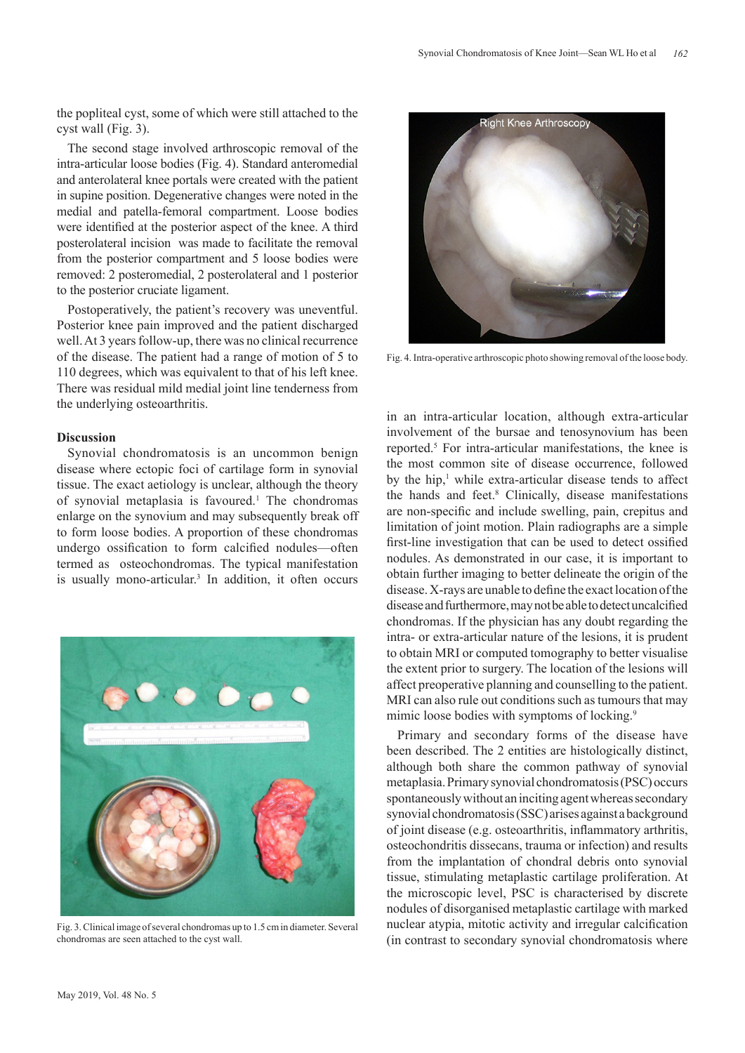the popliteal cyst, some of which were still attached to the cyst wall (Fig. 3).

The second stage involved arthroscopic removal of the intra-articular loose bodies (Fig. 4). Standard anteromedial and anterolateral knee portals were created with the patient in supine position. Degenerative changes were noted in the medial and patella-femoral compartment. Loose bodies were identified at the posterior aspect of the knee. A third posterolateral incision was made to facilitate the removal from the posterior compartment and 5 loose bodies were removed: 2 posteromedial, 2 posterolateral and 1 posterior to the posterior cruciate ligament.

Postoperatively, the patient's recovery was uneventful. Posterior knee pain improved and the patient discharged well. At 3 years follow-up, there was no clinical recurrence of the disease. The patient had a range of motion of 5 to 110 degrees, which was equivalent to that of his left knee. There was residual mild medial joint line tenderness from the underlying osteoarthritis.

## **Discussion**

Synovial chondromatosis is an uncommon benign disease where ectopic foci of cartilage form in synovial tissue. The exact aetiology is unclear, although the theory of synovial metaplasia is favoured.<sup>1</sup> The chondromas enlarge on the synovium and may subsequently break off to form loose bodies. A proportion of these chondromas undergo ossification to form calcified nodules—often termed as osteochondromas. The typical manifestation is usually mono-articular.<sup>3</sup> In addition, it often occurs



Fig. 3. Clinical image of several chondromas up to 1.5 cm in diameter. Several chondromas are seen attached to the cyst wall.



Fig. 4. Intra-operative arthroscopic photo showing removal of the loose body.

in an intra-articular location, although extra-articular involvement of the bursae and tenosynovium has been reported.<sup>5</sup> For intra-articular manifestations, the knee is the most common site of disease occurrence, followed by the hip,<sup>1</sup> while extra-articular disease tends to affect the hands and feet.<sup>8</sup> Clinically, disease manifestations are non-specific and include swelling, pain, crepitus and limitation of joint motion. Plain radiographs are a simple first-line investigation that can be used to detect ossified nodules. As demonstrated in our case, it is important to obtain further imaging to better delineate the origin of the disease. X-rays are unable to define the exact location of the disease and furthermore, may not be able to detect uncalcified chondromas. If the physician has any doubt regarding the intra- or extra-articular nature of the lesions, it is prudent to obtain MRI or computed tomography to better visualise the extent prior to surgery. The location of the lesions will affect preoperative planning and counselling to the patient. MRI can also rule out conditions such as tumours that may mimic loose bodies with symptoms of locking.<sup>9</sup>

Primary and secondary forms of the disease have been described. The 2 entities are histologically distinct, although both share the common pathway of synovial metaplasia. Primary synovial chondromatosis (PSC) occurs spontaneously without an inciting agent whereas secondary synovial chondromatosis (SSC) arises against a background of joint disease (e.g. osteoarthritis, inflammatory arthritis, osteochondritis dissecans, trauma or infection) and results from the implantation of chondral debris onto synovial tissue, stimulating metaplastic cartilage proliferation. At the microscopic level, PSC is characterised by discrete nodules of disorganised metaplastic cartilage with marked nuclear atypia, mitotic activity and irregular calcification (in contrast to secondary synovial chondromatosis where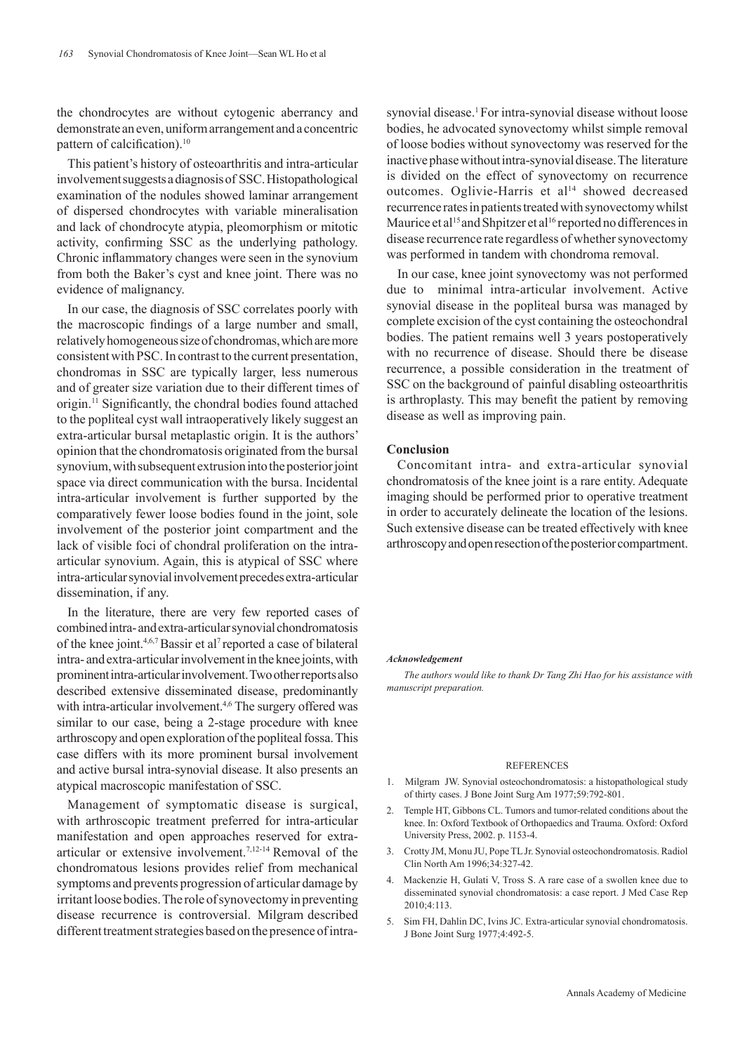the chondrocytes are without cytogenic aberrancy and demonstrate an even, uniform arrangement and a concentric pattern of calcification).<sup>10</sup>

This patient's history of osteoarthritis and intra-articular involvement suggests a diagnosis of SSC. Histopathological examination of the nodules showed laminar arrangement of dispersed chondrocytes with variable mineralisation and lack of chondrocyte atypia, pleomorphism or mitotic activity, confirming SSC as the underlying pathology. Chronic inflammatory changes were seen in the synovium from both the Baker's cyst and knee joint. There was no evidence of malignancy.

In our case, the diagnosis of SSC correlates poorly with the macroscopic findings of a large number and small, relatively homogeneous size of chondromas, which are more consistent with PSC. In contrast to the current presentation, chondromas in SSC are typically larger, less numerous and of greater size variation due to their different times of origin.11 Significantly, the chondral bodies found attached to the popliteal cyst wall intraoperatively likely suggest an extra-articular bursal metaplastic origin. It is the authors' opinion that the chondromatosis originated from the bursal synovium, with subsequent extrusion into the posterior joint space via direct communication with the bursa. Incidental intra-articular involvement is further supported by the comparatively fewer loose bodies found in the joint, sole involvement of the posterior joint compartment and the lack of visible foci of chondral proliferation on the intraarticular synovium. Again, this is atypical of SSC where intra-articular synovial involvement precedes extra-articular dissemination, if any.

In the literature, there are very few reported cases of combined intra- and extra-articular synovial chondromatosis of the knee joint.4,6,7 Bassir et al7 reported a case of bilateral intra- and extra-articular involvement in the knee joints, with prominent intra-articular involvement. Two other reports also described extensive disseminated disease, predominantly with intra-articular involvement.<sup>4,6</sup> The surgery offered was similar to our case, being a 2-stage procedure with knee arthroscopy and open exploration of the popliteal fossa. This case differs with its more prominent bursal involvement and active bursal intra-synovial disease. It also presents an atypical macroscopic manifestation of SSC.

Management of symptomatic disease is surgical, with arthroscopic treatment preferred for intra-articular manifestation and open approaches reserved for extraarticular or extensive involvement.7,12-14 Removal of the chondromatous lesions provides relief from mechanical symptoms and prevents progression of articular damage by irritant loose bodies. The role of synovectomy in preventing disease recurrence is controversial. Milgram described different treatment strategies based on the presence of intrasynovial disease.<sup>1</sup> For intra-synovial disease without loose bodies, he advocated synovectomy whilst simple removal of loose bodies without synovectomy was reserved for the inactive phase without intra-synovial disease. The literature is divided on the effect of synovectomy on recurrence outcomes. Oglivie-Harris et al<sup>14</sup> showed decreased recurrence rates in patients treated with synovectomy whilst Maurice et al<sup>15</sup> and Shpitzer et al<sup>16</sup> reported no differences in disease recurrence rate regardless of whether synovectomy was performed in tandem with chondroma removal.

In our case, knee joint synovectomy was not performed due to minimal intra-articular involvement. Active synovial disease in the popliteal bursa was managed by complete excision of the cyst containing the osteochondral bodies. The patient remains well 3 years postoperatively with no recurrence of disease. Should there be disease recurrence, a possible consideration in the treatment of SSC on the background of painful disabling osteoarthritis is arthroplasty. This may benefit the patient by removing disease as well as improving pain.

#### **Conclusion**

Concomitant intra- and extra-articular synovial chondromatosis of the knee joint is a rare entity. Adequate imaging should be performed prior to operative treatment in order to accurately delineate the location of the lesions. Such extensive disease can be treated effectively with knee arthroscopy and open resection of the posterior compartment.

#### *Acknowledgement*

*The authors would like to thank Dr Tang Zhi Hao for his assistance with manuscript preparation.* 

#### REFERENCES

- 1. Milgram JW. Synovial osteochondromatosis: a histopathological study of thirty cases. J Bone Joint Surg Am 1977;59:792-801.
- 2. Temple HT, Gibbons CL. Tumors and tumor-related conditions about the knee. In: Oxford Textbook of Orthopaedics and Trauma. Oxford: Oxford University Press, 2002. p. 1153-4.
- 3. Crotty JM, Monu JU, Pope TL Jr. Synovial osteochondromatosis. Radiol Clin North Am 1996;34:327-42.
- 4. Mackenzie H, Gulati V, Tross S. A rare case of a swollen knee due to disseminated synovial chondromatosis: a case report. J Med Case Rep 2010;4:113.
- 5. Sim FH, Dahlin DC, Ivins JC. Extra-articular synovial chondromatosis. J Bone Joint Surg 1977;4:492-5.